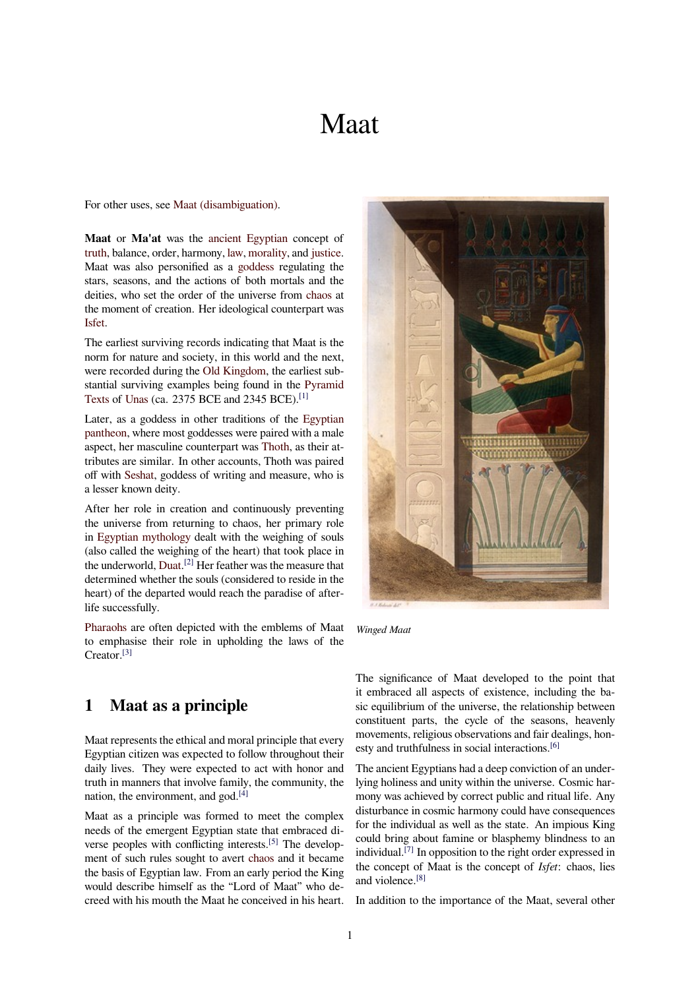# Maat

<span id="page-0-0"></span>For other uses, see Maat (disambiguation).

**Maat** or **Ma'at** was the ancient Egyptian concept of truth, balance, order, harmony, law, morality, and justice. Maat was also pe[rsonified as a](https://en.wikipedia.org/wiki/Maat_(disambiguation)) goddess regulating the stars, seasons, and the actions of both mortals and the deities, who set the order [of the universe fro](https://en.wikipedia.org/wiki/Ancient_Egypt)m chaos at [the m](https://en.wikipedia.org/wiki/Truth)oment of creation. Her i[deolo](https://en.wikipedia.org/wiki/Law)[gical cou](https://en.wikipedia.org/wiki/Morality)nter[part was](https://en.wikipedia.org/wiki/Justice) Isfet.

The earliest surviving records indicating that Maat is the norm for nature and society, in this world and [the ne](https://en.wikipedia.org/wiki/Chaos_(cosmogony))xt, were recorded during the Old Kingdom, the earliest sub[stant](https://en.wikipedia.org/wiki/Isfet_(Egyptian_mythology))ial surviving examples being found in the Pyramid Texts of Unas (ca. 2375 BCE and 2345 BCE).[1]

Later, as a goddess in other traditions of the Egyptian pantheon, where most go[ddesses were p](https://en.wikipedia.org/wiki/Old_Kingdom)aired with a male aspect, her masculine counterpart was Thoth, a[s their at](https://en.wikipedia.org/wiki/Pyramid_Texts)[tribut](https://en.wikipedia.org/wiki/Pyramid_Texts)es [are sim](https://en.wikipedia.org/wiki/Unas#The_Pyramid_Texts)ilar. In other accounts, Thoth [was](#page-3-0) paired off with Seshat, goddess of writing and measur[e, who is](https://en.wikipedia.org/wiki/Egyptian_pantheon) [a lesser k](https://en.wikipedia.org/wiki/Egyptian_pantheon)nown deity.

After her role in creation and contin[uously](https://en.wikipedia.org/wiki/Thoth) preventing the universe from returning to chaos, her primary role in Egyp[tian my](https://en.wikipedia.org/wiki/Seshat)thology dealt with the weighing of souls (also called the weighing of the heart) that took place in the underworld, Duat.<sup>[2]</sup> Her feather was the measure that determined whether the souls (considered to reside in the he[art\) of the departed w](https://en.wikipedia.org/wiki/Egyptian_mythology)ould reach the paradise of afterlife successfully.

Pharaohs are o[ften d](https://en.wikipedia.org/wiki/Duat)[epi](#page-3-1)cted with the emblems of Maat to emphasise their role in upholding the laws of the Creator.[3]

# **1 [Ma](#page-3-2)at as a principle**

Maat represents the ethical and moral principle that every Egyptian citizen was expected to follow throughout their daily lives. They were expected to act with honor and truth in manners that involve family, the community, the nation, the environment, and god.<sup>[4]</sup>

Maat as a principle was formed to meet the complex needs of the emergent Egyptian state that embraced diverse peoples with conflicting in[ter](#page-3-3)ests.<sup>[5]</sup> The development of such rules sought to avert chaos and it became the basis of Egyptian law. From an early period the King would describe himself as the "Lord of Maat" who decreed with his mouth the Maat he conce[ive](#page-3-4)d in his heart.



*Winged Maat*

The significance of Maat developed to the point that it embraced all aspects of existence, including the basic equilibrium of the universe, the relationship between constituent parts, the cycle of the seasons, heavenly movements, religious observations and fair dealings, honesty and truthfulness in social interactions.<sup>[6]</sup>

The ancient Egyptians had a deep conviction of an underlying holiness and unity within the universe. Cosmic harmony was achieved by correct public and ritual life. Any disturbance in cosmic harmony could have [co](#page-3-5)nsequences for the individual as well as the state. An impious King could bring about famine or blasphemy blindness to an individual.[7] In opposition to the right order expressed in the concept of Maat is the concept of *Isfet*: chaos, lies and violence.[8]

In additio[n to](#page-4-0) the importance of the Maat, several other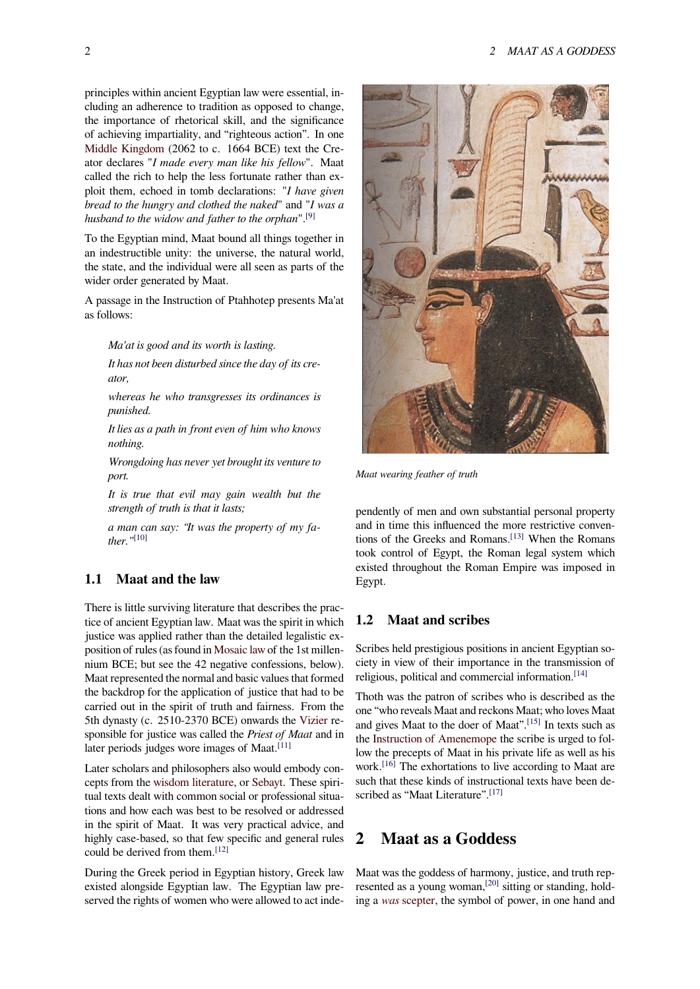principles within ancient Egyptian law were essential, including an adherence to tradition as opposed to change, the importance of rhetorical skill, and the significance of achieving impartiality, and "righteous action". In one Middle Kingdom (2062 to c. 1664 BCE) text the Creator declares "*I made every man like his fellow*". Maat called the rich to help the less fortunate rather than exploit them, echoed in tomb declarations: "*I have given [bread to the hungr](https://en.wikipedia.org/wiki/Middle_Kingdom_of_Egypt)y and clothed the naked*" and "*I was a husband to the widow and father to the orphan*".[9]

To the Egyptian mind, Maat bound all things together in an indestructible unity: the universe, the natural world, the state, and the individual were all seen as pa[rts](#page-4-1) of the wider order generated by Maat.

A passage in the Instruction of Ptahhotep presents Ma'at as follows:

*Ma'at is good and its worth is lasting.*

*It has not been disturbed since the day of its creator,*

*whereas he who transgresses its ordinances is punished.*

*It lies as a path in front even of him who knows nothing.*

*Wrongdoing has never yet brought its venture to port.*

*It is true that evil may gain wealth but the strength of truth is that it lasts;*

*a man can say: "It was the property of my father."*[10]

### **1.1 Maat and the law**

There is little surviving literature that describes the practice of ancient Egyptian law. Maat was the spirit in which justice was applied rather than the detailed legalistic exposition of rules (as found in Mosaic law of the 1st millennium BCE; but see the 42 negative confessions, below). Maat represented the normal and basic values that formed the backdrop for the application of justice that had to be carried out in the spirit oft[ruth and fai](https://en.wikipedia.org/wiki/Mosaic_law)rness. From the 5th dynasty (c. 2510-2370 BCE) onwards the Vizier responsible for justice was called the *Priest of Maat* and in later periods judges wore images of Maat.<sup>[11]</sup>

Later scholars and philosophers also would embody concepts from the wisdom literature, or Sebayt. T[hese sp](https://en.wikipedia.org/wiki/Vizier)iritual texts dealt with common social or professional situations and how each was best to be resolve[d or](#page-4-2) addressed in the spirit of Maat. It was very practical advice, and highly case-ba[sed, so that few sp](https://en.wikipedia.org/wiki/Wisdom_literature)eci[fic and](https://en.wikipedia.org/wiki/Sebayt) general rules could be derived from them.<sup>[12]</sup>

During the Greek period in Egyptian history, Greek law existed alongside Egyptian law. The Egyptian law preserved the rights of women [who](#page-4-3) were allowed to act inde-



*Maat wearing feather of truth*

pendently of men and own substantial personal property and in time this influenced the more restrictive conventions of the Greeks and Romans.<sup>[13]</sup> When the Romans took control of Egypt, the Roman legal system which existed throughout the Roman Empire was imposed in Egypt.

### **1.2 Maat and scribes**

Scribes held prestigious positions in ancient Egyptian society in view of their importance in the transmission of religious, political and commercial information.<sup>[14]</sup>

Thoth was the patron of scribes who is described as the one "who reveals Maat and reckons Maat; who loves Maat and gives Maat to the doer of Maat".[15] In texts such as the Instruction of Amenemope the scribe is urg[ed t](#page-4-4)o follow the precepts of Maat in his private life as well as his work.[16] The exhortations to live according to Maat are such that these kinds of instructional [text](#page-4-5)s have been descri[bed as "Maat Literature".](https://en.wikipedia.org/wiki/Instruction_of_Amenemope)<sup>[17]</sup>

# **2 Maat as a God[des](#page-4-6)s**

Maat was the goddess of harmony, justice, and truth represented as a young woman,<sup>[20]</sup> sitting or standing, holding a *was* scepter, the symbol of power, in one hand and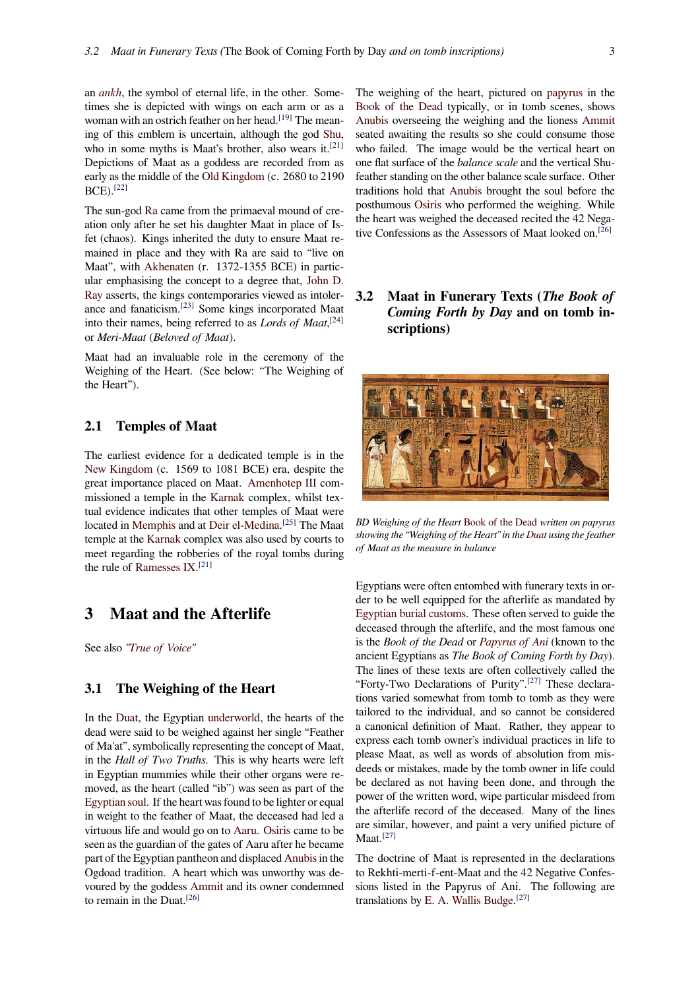an *ankh*, the symbol of eternal life, in the other. Sometimes she is depicted with wings on each arm or as a woman with an ostrich feather on her head.<sup>[19]</sup> The meaning of this emblem is uncertain, although the god Shu, wh[o in s](https://en.wikipedia.org/wiki/Ankh)ome myths is Maat's brother, also wears it.<sup>[21]</sup> Depictions of Maat as a goddess are recorded from as early as the middle of the Old Kingdom (c[. 26](#page-4-7)80 to 2190 BCE).[22]

The sun-god Ra came from the primaeval mound of [cre](#page-4-8)ation only after he set his daughter Maat in place of Isfet (chaos). Kings inheri[ted the duty to](https://en.wikipedia.org/wiki/Old_Kingdom) ensure Maat remaine[d in](#page-4-9) place and they with Ra are said to "live on Maat", with [Ak](https://en.wikipedia.org/wiki/Ra)henaten (r. 1372-1355 BCE) in particular emphasising the concept to a degree that, John D. Ray asserts, the kings contemporaries viewed as intolerance and fanaticism.[23] Some kings incorporated Maat into their na[mes, being](https://en.wikipedia.org/wiki/Akhenaten) referred to as *Lords of Maat*, [24] or *Meri-Maat* (*Beloved of Maat*).

[Maa](https://en.wikipedia.org/wiki/John_D._Ray)t had an invalu[abl](#page-4-10)e role in the ceremony of the Weighing of the Heart. (See below: "The Weighing [of](#page-4-11) the Heart").

### **2.1 Temples of Maat**

The earliest evidence for a dedicated temple is in the New Kingdom (c. 1569 to 1081 BCE) era, despite the great importance placed on Maat. Amenhotep III commissioned a temple in the Karnak complex, whilst textual evidence indicates that other temples of Maat were [located in](https://en.wikipedia.org/wiki/New_Kingdom) Memphis and at Deir el-Medina.<sup>[25]</sup> The Maat temple at the Karnak complex was [also used by cou](https://en.wikipedia.org/wiki/Amenhotep_III)rts to meet regarding the robberi[es of th](https://en.wikipedia.org/wiki/Karnak)e royal tombs during the rule of Ramesses IX. [21]

# **3 Ma[at and th](https://en.wikipedia.org/wiki/Ramesses_IX)[e A](#page-4-8)fterlife**

See also *"True of Voice"*

### **3.1 The Weighing of the Heart**

In the D[uat, the Egypti](https://en.wikipedia.org/wiki/Maat_Kheru)an underworld, the hearts of the dead were said to be weighed against her single "Feather of Ma'at", symbolically representing the concept of Maat, in the *Hall of Two Truths*. This is why hearts were left in Egy[ptian](https://en.wikipedia.org/wiki/Duat) mummies whi[le their othe](https://en.wikipedia.org/wiki/Underworld)r organs were removed, as the heart (called "ib") was seen as part of the Egyptian soul. If the heart was found to be lighter or equal in weight to the feather of Maat, the deceased had led a virtuous life and would go on to Aaru. Osiris came to be seen as the guardian of the gates of Aaru after he became [part of the Eg](https://en.wikipedia.org/wiki/Egyptian_soul)yptian pantheon and displaced Anubis in the Ogdoad tradition. A heart which was unworthy was devoured by the goddess Ammit a[nd its](https://en.wikipedia.org/wiki/Aaru) [owner](https://en.wikipedia.org/wiki/Osiris) condemned to remain in the Duat.[26]

The weighing of the heart, pictured on papyrus in the Book of the Dead typically, or in tomb scenes, shows Anubis overseeing the weighing and the lioness Ammit seated awaiting the results so she could consume those who failed. The image would be the v[ertical he](https://en.wikipedia.org/wiki/Papyrus)art on [one flat surface of t](https://en.wikipedia.org/wiki/Book_of_the_Dead)he *balance scale* and the vertical Shu[feather](https://en.wikipedia.org/wiki/Anubis) standing on the other balance scale surfac[e. Other](https://en.wikipedia.org/wiki/Ammit) traditions hold that Anubis brought the soul before the posthumous Osiris who performed the weighing. While the heart was weighed the deceased recited the 42 Negative Confessions as the Assessors of Maat looked on.<sup>[26]</sup>

**3.2 Maat in Funerary Texts (***The Book [of](#page-4-12) Coming Forth by Day* **and on tomb inscriptions)**



*BD Weighing of the Heart* Book of the Dead *written on papyrus showing the "Weighing of the Heart" in the Duat using the feather of Maat as the measure in balance*

Egyptians were often e[ntombed with fun](https://en.wikipedia.org/wiki/Book_of_the_Dead)erary texts in order to be well equipped for the after[life a](https://en.wikipedia.org/wiki/Duat)s mandated by Egyptian burial customs. These often served to guide the deceased through the afterlife, and the most famous one is the *Book of the Dead* or *Papyrus of Ani* (known to the ancient Egyptians as *The Book of Coming Forth by Day*). [The lines of these texts](https://en.wikipedia.org/wiki/Egyptian_burial_customs) are often collectively called the "Forty-Two Declarations of Purity".[27] These declarations varied somewhat fro[m tomb to tomb](https://en.wikipedia.org/wiki/Papyrus_of_Ani) as they were tailored to the individual, and so cannot be considered a canonical definition of Maat. Rather, they appear to express each tomb owner's individua[l pr](#page-4-13)actices in life to please Maat, as well as words of absolution from misdeeds or mistakes, made by the tomb owner in life could be declared as not having been done, and through the power of the written word, wipe particular misdeed from the afterlife record of the deceased. Many of the lines are similar, however, and paint a very unified picture of Maat.[27]

The doctrine of Maat is represented in the declarations to Rekhti-merti-f-ent-Maat and the 42 Negative Confessions [list](#page-4-13)ed in the Papyrus of Ani. The following are translations by E. A. Wallis Budge.<sup>[27]</sup>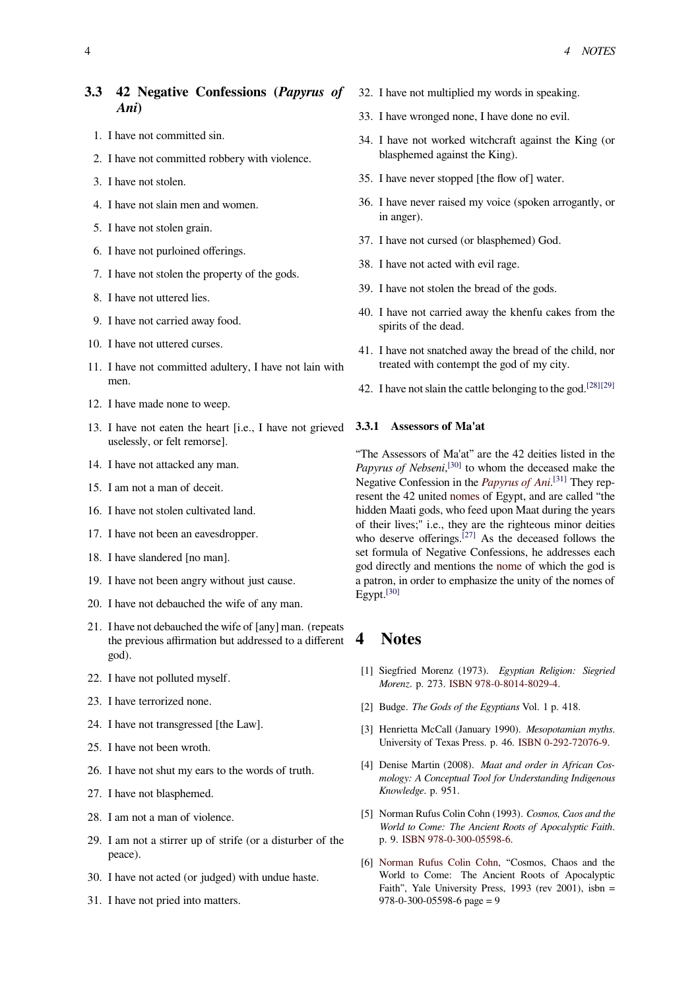# **3.3 42 Negative Confessions (***Papyrus of Ani***)**

- 1. I have not committed sin.
- 2. I have not committed robbery with violence.
- 3. I have not stolen.
- 4. I have not slain men and women.
- 5. I have not stolen grain.
- 6. I have not purloined offerings.
- 7. I have not stolen the property of the gods.
- 8. I have not uttered lies.
- 9. I have not carried away food.
- 10. I have not uttered curses.
- 11. I have not committed adultery, I have not lain with men.
- 12. I have made none to weep.
- 13. I have not eaten the heart [i.e., I have not grieved uselessly, or felt remorse].
- 14. I have not attacked any man.
- 15. I am not a man of deceit.
- 16. I have not stolen cultivated land.
- 17. I have not been an eavesdropper.
- 18. I have slandered [no man].
- 19. I have not been angry without just cause.
- 20. I have not debauched the wife of any man.
- 21. I have not debauched the wife of [any] man. (repeats the previous affirmation but addressed to a different god).
- 22. I have not polluted myself.
- 23. I have terrorized none.
- 24. I have not transgressed [the Law].
- 25. I have not been wroth.
- 26. I have not shut my ears to the words of truth.
- 27. I have not blasphemed.
- 28. I am not a man of violence.
- 29. I am not a stirrer up of strife (or a disturber of the peace).
- 30. I have not acted (or judged) with undue haste.
- 31. I have not pried into matters.
- 32. I have not multiplied my words in speaking.
- 33. I have wronged none, I have done no evil.
- 34. I have not worked witchcraft against the King (or blasphemed against the King).
- 35. I have never stopped [the flow of] water.
- 36. I have never raised my voice (spoken arrogantly, or in anger).
- 37. I have not cursed (or blasphemed) God.
- 38. I have not acted with evil rage.
- 39. I have not stolen the bread of the gods.
- 40. I have not carried away the khenfu cakes from the spirits of the dead.
- 41. I have not snatched away the bread of the child, nor treated with contempt the god of my city.
- 42. I have not slain the cattle belonging to the god.<sup>[28][29]</sup>

#### **3.3.1 Assessors of Ma'at**

"The Assessors of Ma'at" are the 42 deities listed [in](#page-4-14) [the](#page-4-15) Papyrus of Nebseni,<sup>[30]</sup> to whom the deceased make the Negative Confession in the *Papyrus of Ani*. [31] They represent the 42 united nomes of Egypt, and are called "the hidden Maati gods, who feed upon Maat during the years of their lives;" i.e., [the](#page-4-16)y are the righteous minor deities who deserve offerings.<sup>[27]</sup> [As the decease](https://en.wikipedia.org/wiki/Papyrus_of_Ani)[d f](#page-4-17)ollows the set formula of Nega[tive Co](https://en.wikipedia.org/wiki/Nome_(Egypt))nfessions, he addresses each god directly and mentions the nome of which the god is a patron, in order to emphasize the unity of the nomes of Egypt.[30]

# **4 [No](#page-4-16)tes**

- [1] Siegfried Morenz (1973). *Egyptian Religion: Siegried Morenz*. p. 273. ISBN 978-0-8014-8029-4.
- [2] Budge. *The Gods of the Egyptians* Vol. 1 p. 418.
- <span id="page-3-0"></span>[3] Henrietta McCall (January 1990). *Mesopotamian myths*. University of Te[xas Pr](https://en.wikipedia.org/wiki/International_Standard_Book_Number)[ess. p. 46.](https://en.wikipedia.org/wiki/Special:BookSources/978-0-8014-8029-4) ISBN 0-292-72076-9.
- <span id="page-3-1"></span>[4] Denise Martin (2008). *Maat and order in African Cosmology: A Conceptual Tool for Understanding Indigenous Knowledge*. p. 951.
- <span id="page-3-3"></span><span id="page-3-2"></span>[5] Norman Rufus Colin Cohn (1993). *Cosmos, Caos and the World to Come: The Ancient Roots of Apocalyptic Faith*. p. 9. ISBN 978-0-300-05598-6.
- <span id="page-3-5"></span><span id="page-3-4"></span>[6] Norman Rufus Colin Cohn, "Cosmos, Chaos and the World to Come: The Ancient Roots of Apocalyptic Faith", Yale University Press, 1993 (rev 2001), isbn = 978-[0-300-](https://en.wikipedia.org/wiki/International_Standard_Book_Number)[05598-6 page = 9](https://en.wikipedia.org/wiki/Special:BookSources/978-0-300-05598-6)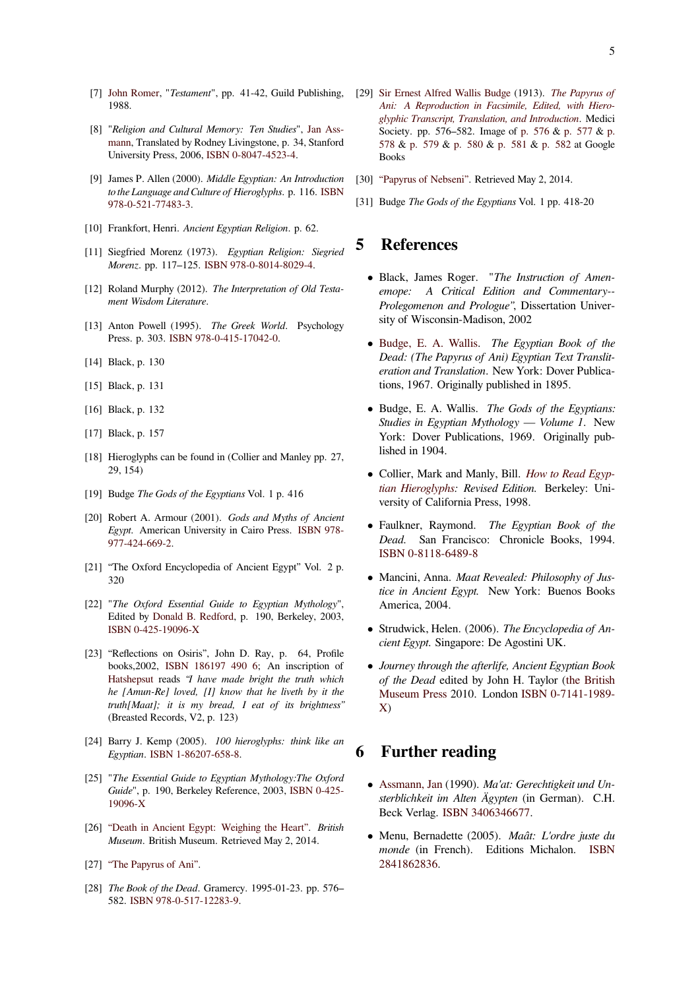- [7] John Romer, "*Testament*", pp. 41-42, Guild Publishing, 1988.
- [8] "*Religion and Cultural Memory: Ten Studies*", Jan Assmann, Translated by Rodney Livingstone, p. 34, Stanford [University Pr](https://en.wikipedia.org/wiki/John_Romer_(Egyptologist))ess, 2006, ISBN 0-8047-4523-4.
- <span id="page-4-0"></span>[9] James P. Allen (2000). *Middle Egyptian: An Introduction to the Language and Culture of Hieroglyphs*. p. 116. [ISBN](https://en.wikipedia.org/wiki/Jan_Assmann) [978-0](https://en.wikipedia.org/wiki/Jan_Assmann)-521-77483-3.
- [10] Frankfort, Henri. *Ancient Egyptian Religion*. p. 62.
- <span id="page-4-1"></span>[11] Siegfried Morenz (1973). *Egyptian Religion: Si[egried](https://en.wikipedia.org/wiki/International_Standard_Book_Number) Morenz*[. pp. 117–12](https://en.wikipedia.org/wiki/Special:BookSources/978-0-521-77483-3)5. ISBN 978-0-8014-8029-4.
- [12] Roland Murphy (2012). *The Interpretation of Old Testament Wisdom Literature*.
- <span id="page-4-2"></span>[13] Anton Powell (1995). *[The](https://en.wikipedia.org/wiki/International_Standard_Book_Number) [Greek World](https://en.wikipedia.org/wiki/Special:BookSources/978-0-8014-8029-4)*. Psychology Press. p. 303. ISBN 978-0-415-17042-0.
- <span id="page-4-3"></span>[14] Black, p. 130
- [15] Black, p. 131
- [16] Black, p. 132
- <span id="page-4-4"></span>[17] Black, p. 157
- <span id="page-4-5"></span>[18] Hieroglyphs can be found in (Collier and Manley pp. 27, 29, 154)
- <span id="page-4-6"></span>[19] Budge *The Gods of the Egyptians* Vol. 1 p. 416
- [20] Robert A. Armour (2001). *Gods and Myths of Ancient Egypt*. American University in Cairo Press. ISBN 978- 977-424-669-2.
- <span id="page-4-7"></span>[21] "The Oxford Encyclopedia of Ancient Egypt" Vol. 2 p. 320
- [22] "*[The Oxford E](https://en.wikipedia.org/wiki/Special:BookSources/978-977-424-669-2)ssential Guide to Egyptian Mythology*", Edited by Donald B. Redford, p. 190, Berkeley, 2003, ISBN 0-425-19096-X
- <span id="page-4-9"></span><span id="page-4-8"></span>[23] "Reflections on Osiris", John D. Ray, p. 64, Profile books,2002, ISBN 186197 490 6; An inscription of Hatshepsut reads *["I have ma](https://en.wikipedia.org/wiki/Donald_B._Redford)de bright the truth which [he \[Amun-Re\] loved,](https://en.wikipedia.org/wiki/Special:BookSources/042519096X) [I] know that he liveth by it the truth[Maat]; it is my bread, I eat of its brightness"* (Breasted Re[cords, V2, p. 123\)](https://en.wikipedia.org/wiki/Special:BookSources/1861974906)
- <span id="page-4-10"></span>[24] [Barry J. Ke](https://en.wikipedia.org/wiki/Hatshepsut)mp (2005). *100 hieroglyphs: think like an Egyptian*. ISBN 1-86207-658-8.
- [25] "*The Essential Guide to Egyptian Mythology:The Oxford Guide*", p. 190, Berkeley Reference, 2003, ISBN 0-425- 19096-X
- <span id="page-4-11"></span>[26] "Death in Ancient Egypt: Weighing the Heart". *British Museum*. British Museum. Retrieved May [2, 2014.](https://en.wikipedia.org/wiki/Special:BookSources/042519096X)
- [27] ["The Pap](https://en.wikipedia.org/wiki/Special:BookSources/042519096X)yrus of Ani".
- <span id="page-4-14"></span><span id="page-4-13"></span><span id="page-4-12"></span>[28] *The Book of the Dead*[. Gramercy. 1995-01-23. p](http://www.britishmuseum.org/explore/young_explorers/discover/museum_explorer/ancient_egypt/death/weighing_the_heart.aspx)p. 576– 582. ISBN 978-0-517-12283-9.
- [29] Sir Ernest Alfred Wallis Budge (1913). *The Papyrus of Ani: A Reproduction in Facsimile, Edited, with Hieroglyphic Transcript, Translation, and Introduction*. Medici Society. pp. 576–582. Image of p. 576 & p. 577 & p. 578 & p. 579 & p. 580 & p. 581 & p. 582 [at Google](http://books.google.com/books?id=Pd3fAAAAMAAJ&pg=PA576) [Books](https://en.wikipedia.org/wiki/E._A._Wallis_Budge)
- <span id="page-4-15"></span>[30] ["Papyrus of Nebseni". Retrieved May 2, 2014.](http://books.google.com/books?id=Pd3fAAAAMAAJ&pg=PA576)
- [31] [Bud](https://books.google.com/books?id=Pd3fAAAAMAAJ&pg=PA578&img=1&zoom=3&hl=en&sig=ACfU3U1Jdr9ualNT85zBejA5gaNzWyhu_g&ci=145%252C153%252C850%252C1218&edge=0)ge *[The Go](https://books.google.com/books?id=Pd3fAAAAMAAJ&pg=PA579&img=1&zoom=3&hl=en&sig=ACfU3U2Rk6I2S3WZ-VvXhBVX3v3oCyx-pA&ci=30%252C177%252C820%252C1222&edge=0)ds [of the Eg](https://books.google.com/books?id=Pd3fAAAAMAAJ&pg=PA580&img=1&zoom=3&hl=en&sig=ACfU3U1PmV9f9FK7qNm4lRHELMx1r21J0w&ci=160%252C155%252C820%252C1207&edge=0)yp[tians](https://books.google.com/books?id=Pd3fAAAAMAAJ&pg=PA581&img=1&zoom=3&hl=en&sig=ACfU3U2GZFEn330Ow6TUcwCANdbjK6R7Zw&ci=37%252C168%252C810%252C1212&edge=0)* Vol. [1 pp. 41](https://books.google.com/books?id=Pd3fAAAAMAAJ&pg=PA582&img=1&zoom=3&hl=en&sig=ACfU3U1b3Y5ZqALeLzM2O3ysYLq07Qh-pQ&ci=160%252C169%252C800%252C664&edge=0)8-20

# <span id="page-4-16"></span>**5 [References](http://www.touregypt.net/bod123.htm)**

- <span id="page-4-17"></span>*•* Black, James Roger. "*The Instruction of Amenemope: A Critical Edition and Commentary-- Prolegomenon and Prologue"*, Dissertation University of Wisconsin-Madison, 2002
- *•* Budge, E. A. Wallis. *The Egyptian Book of the Dead: (The Papyrus of Ani) Egyptian Text Transliteration and Translation*. New York: Dover Publications, 1967. Originally published in 1895.
- *•* [Budge, E. A. Wallis.](https://en.wikipedia.org/wiki/E._A._Wallis_Budge) *The Gods of the Egyptians: Studies in Egyptian Mythology — Volume 1*. New York: Dover Publications, 1969. Originally published in 1904.
- *•* Collier, Mark and Manly, Bill. *How to Read Egyptian Hieroglyphs: Revised Edition.* Berkeley: University of California Press, 1998.
- *•* Faulkner, Raymond. *The Eg[yptian Book of the](https://en.wikipedia.org/wiki/How_to_Read_Egyptian_Hieroglyphs) Dead.* San Francisco: Chronicle Books, 1994. [ISBN 0-8118-64](https://en.wikipedia.org/wiki/How_to_Read_Egyptian_Hieroglyphs)89-8
- *•* Mancini, Anna. *Maat Revealed: Philosophy of Justice in Ancient Egypt.* New York: Buenos Books [America, 2004.](https://en.wikipedia.org/wiki/Special:BookSources/0811864898)
- *•* Strudwick, Helen. (2006). *The Encyclopedia of Ancient Egypt*. Singapore: De Agostini UK.
- *• Journey through the afterlife, Ancient Egyptian Book of the Dead* edited by John H. Taylor (the British Museum Press 2010. London ISBN 0-7141-1989- X)

### **6 [Further r](https://en.wikipedia.org/wiki/The_British_Museum_Press)eading**

- *•* Assmann, Jan (1990). *Ma'at: Gerechtigkeit und Unsterblichkeit im Alten Ägypten* (in German). C.H. Beck Verlag. ISBN 3406346677.
- *•* [Menu, Bernad](https://en.wikipedia.org/wiki/Jan_Assmann)ette (2005). *Maât: L'ordre juste du monde* (in French). Editions Michalon. ISBN 2841862836.